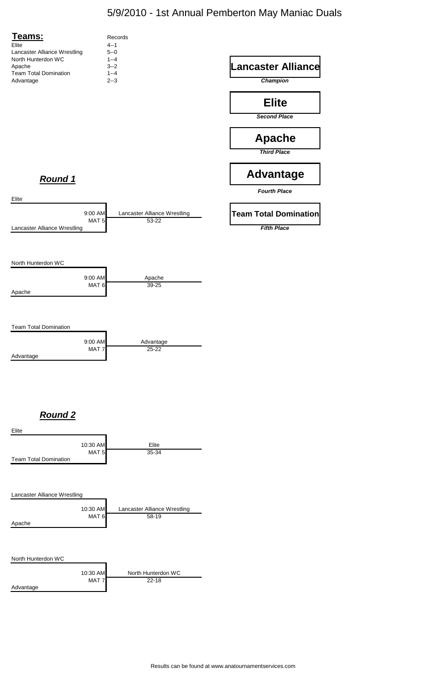## 5/9/2010 - 1st Annual Pemberton May Maniac Duals

Results can be found at www.anatournamentservices.com



Lancaster Alliance Wrestling



### North Hunterdon WC

|           | 10:30 AM | North Hunterdon WC |
|-----------|----------|--------------------|
|           | MAT 7    | $22 - 18$          |
| Advantage |          |                    |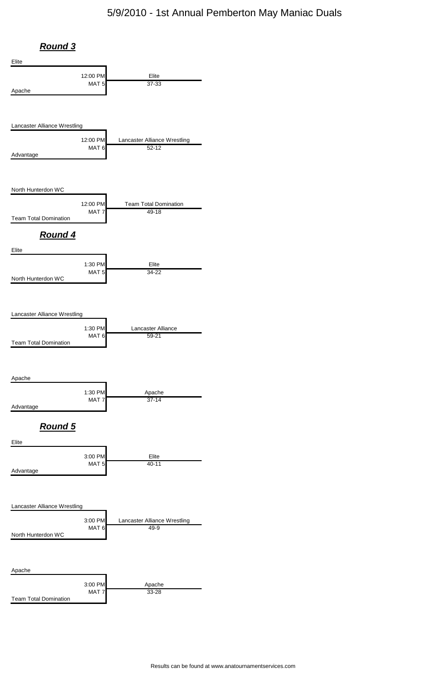## 5/9/2010 - 1st Annual Pemberton May Maniac Duals



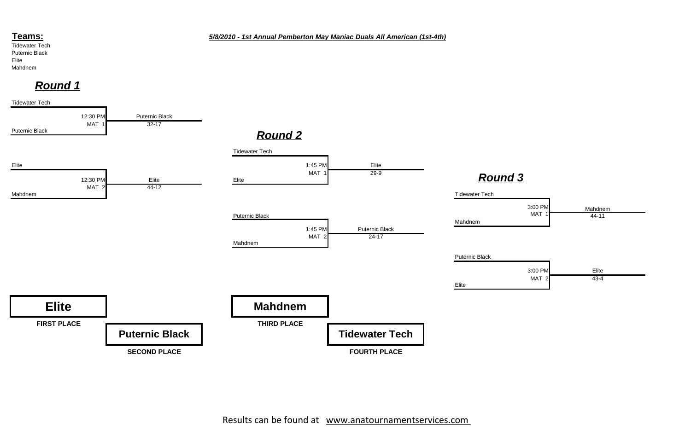### **Teams:**

Tidewater Tech Puternic Black Elite Mahdnem



## *Round 1*

*5/8/2010 - 1st Annual Pemberton May Maniac Duals All American (1st-4th)*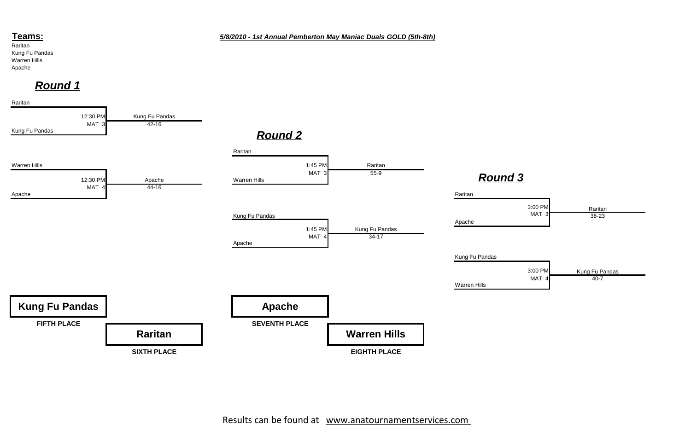### **Teams:**

Raritan Kung Fu Pandas Warren Hills Apache



*5/8/2010 - 1st Annual Pemberton May Maniac Duals GOLD (5th-8th)*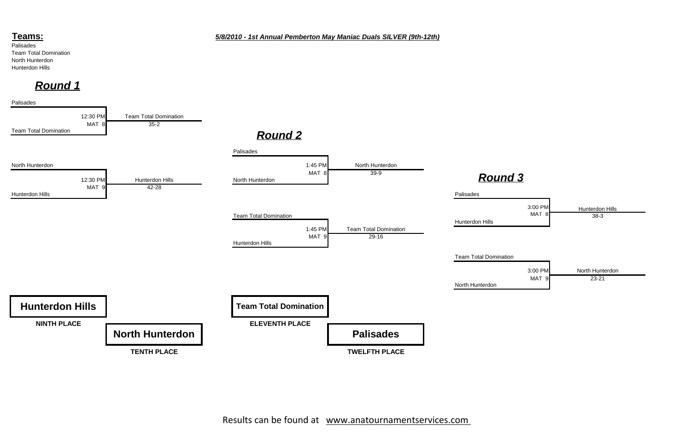### **Teams:**

Palisades Team Total Domination North Hunterdon Hunterdon Hills

Palisades





# *Round 1*

### *5/8/2010 - 1st Annual Pemberton May Maniac Duals SILVER (9th-12th)*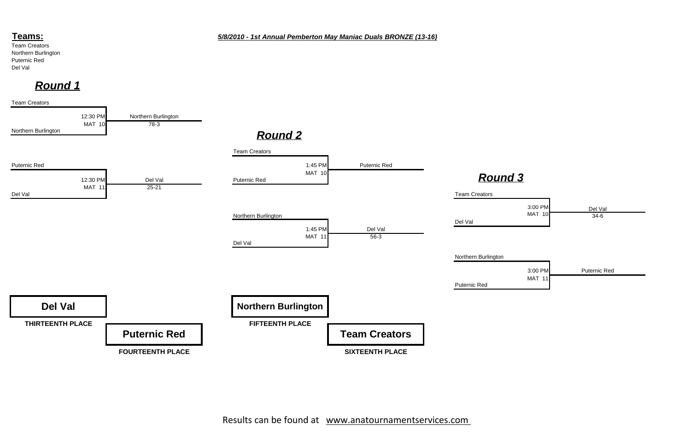### **Teams:**

Team Creators Northern Burlington Puternic Red Del Val

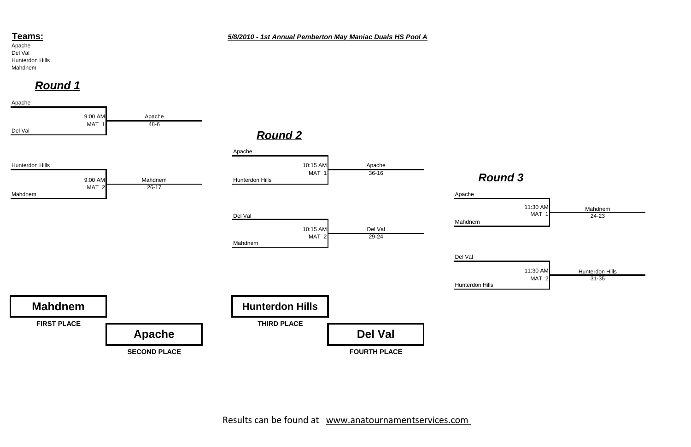### **Teams:**

Apache Del Val Hunterdon Hills Mahdnem



*5/8/2010 - 1st Annual Pemberton May Maniac Duals HS Pool A*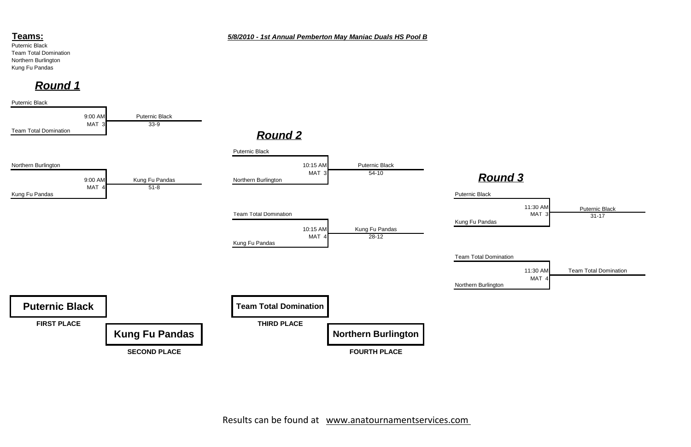### **Teams:**

Puternic Black Team Total Domination Northern Burlington Kung Fu Pandas

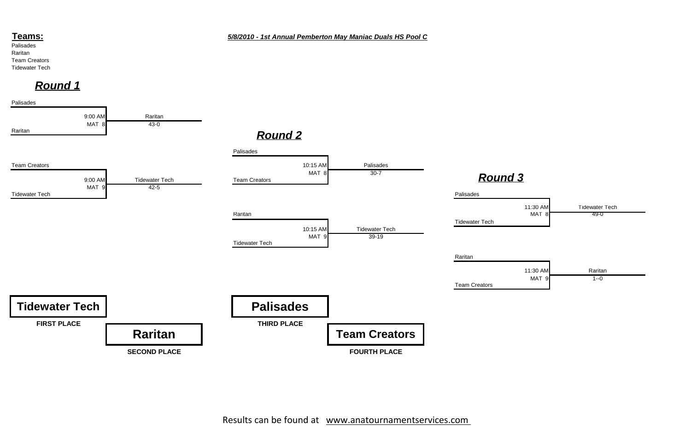### **Teams:**

Palisades Raritan Team Creators Tidewater Tech